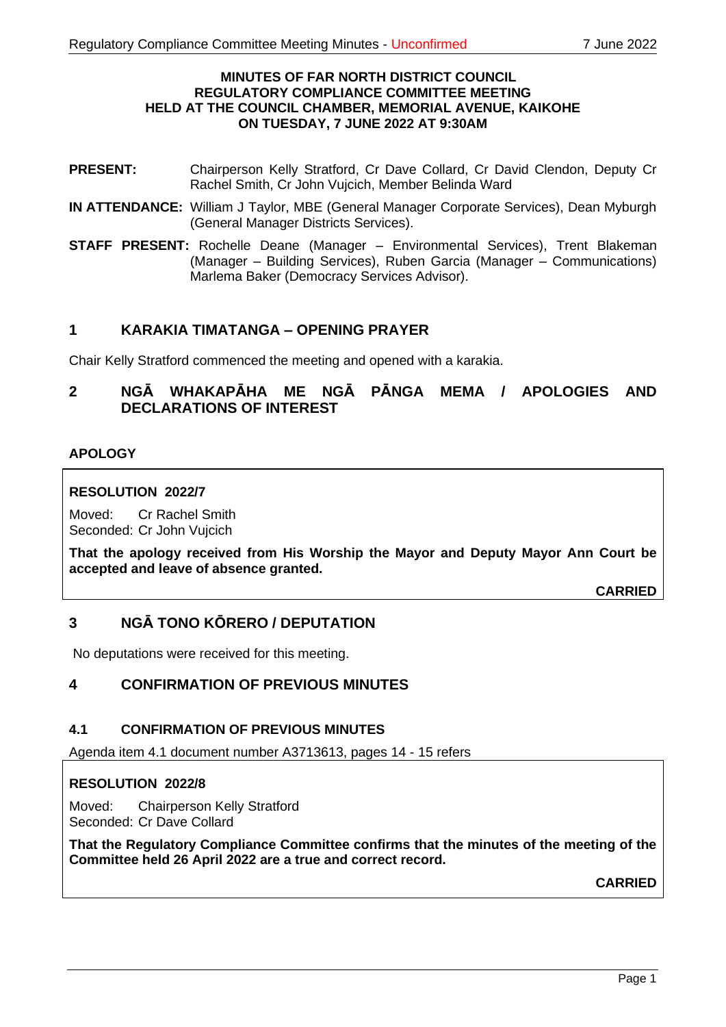#### **MINUTES OF FAR NORTH DISTRICT COUNCIL REGULATORY COMPLIANCE COMMITTEE MEETING HELD AT THE COUNCIL CHAMBER, MEMORIAL AVENUE, KAIKOHE ON TUESDAY, 7 JUNE 2022 AT 9:30AM**

- **PRESENT:** Chairperson Kelly Stratford, Cr Dave Collard, Cr David Clendon, Deputy Cr Rachel Smith, Cr John Vujcich, Member Belinda Ward
- **IN ATTENDANCE:** William J Taylor, MBE (General Manager Corporate Services), Dean Myburgh (General Manager Districts Services).
- **STAFF PRESENT:** Rochelle Deane (Manager Environmental Services), Trent Blakeman (Manager – Building Services), Ruben Garcia (Manager – Communications) Marlema Baker (Democracy Services Advisor).

# **1 KARAKIA TIMATANGA – OPENING PRAYER**

Chair Kelly Stratford commenced the meeting and opened with a karakia.

# **2 NGĀ WHAKAPĀHA ME NGĀ PĀNGA MEMA / APOLOGIES AND DECLARATIONS OF INTEREST**

# **APOLOGY**

## **RESOLUTION 2022/7**

Moved: Cr Rachel Smith Seconded: Cr John Vujcich

**That the apology received from His Worship the Mayor and Deputy Mayor Ann Court be accepted and leave of absence granted.**

**CARRIED**

# **3 NGĀ TONO KŌRERO / DEPUTATION**

No deputations were received for this meeting.

# **4 CONFIRMATION OF PREVIOUS MINUTES**

## **4.1 CONFIRMATION OF PREVIOUS MINUTES**

Agenda item 4.1 document number A3713613, pages 14 - 15 refers

## **RESOLUTION 2022/8**

Moved: Chairperson Kelly Stratford Seconded: Cr Dave Collard

**That the Regulatory Compliance Committee confirms that the minutes of the meeting of the Committee held 26 April 2022 are a true and correct record.**

**CARRIED**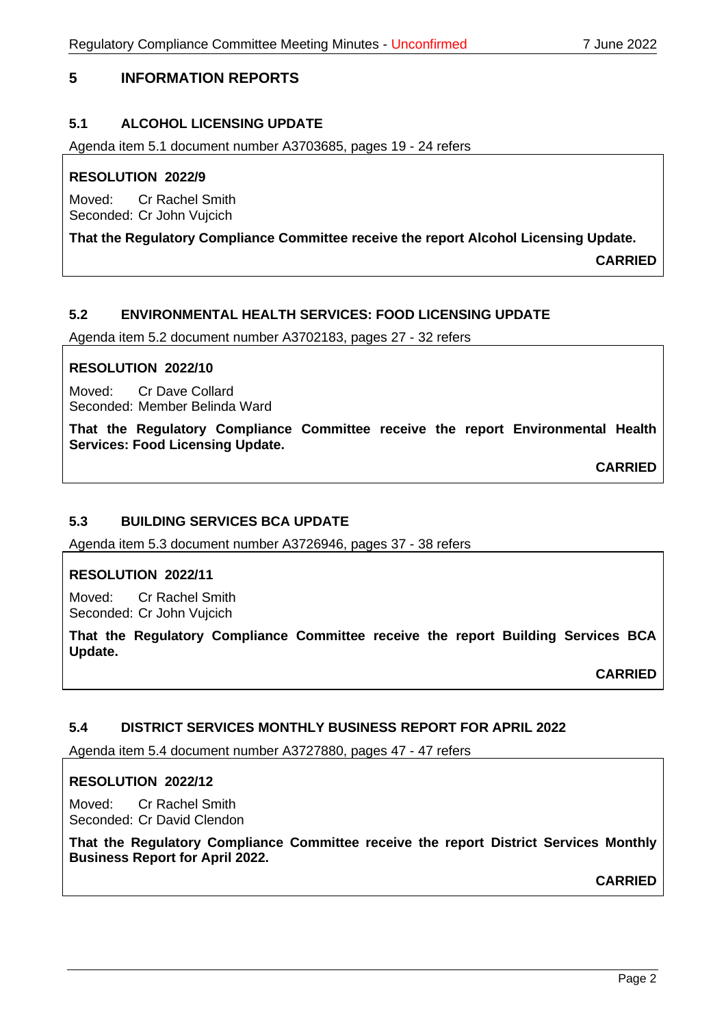# **5 INFORMATION REPORTS**

# **5.1 ALCOHOL LICENSING UPDATE**

Agenda item 5.1 document number A3703685, pages 19 - 24 refers

## **RESOLUTION 2022/9**

Moved: Cr Rachel Smith Seconded: Cr John Vujcich

## **That the Regulatory Compliance Committee receive the report Alcohol Licensing Update.**

**CARRIED**

# **5.2 ENVIRONMENTAL HEALTH SERVICES: FOOD LICENSING UPDATE**

Agenda item 5.2 document number A3702183, pages 27 - 32 refers

#### **RESOLUTION 2022/10**

Moved: Cr Dave Collard Seconded: Member Belinda Ward

**That the Regulatory Compliance Committee receive the report Environmental Health Services: Food Licensing Update.**

**CARRIED**

## **5.3 BUILDING SERVICES BCA UPDATE**

Agenda item 5.3 document number A3726946, pages 37 - 38 refers

#### **RESOLUTION 2022/11**

Moved: Cr Rachel Smith Seconded: Cr John Vujcich

**That the Regulatory Compliance Committee receive the report Building Services BCA Update.**

**CARRIED**

## **5.4 DISTRICT SERVICES MONTHLY BUSINESS REPORT FOR APRIL 2022**

Agenda item 5.4 document number A3727880, pages 47 - 47 refers

#### **RESOLUTION 2022/12**

Moved: Cr Rachel Smith Seconded: Cr David Clendon

**That the Regulatory Compliance Committee receive the report District Services Monthly Business Report for April 2022.**

**CARRIED**